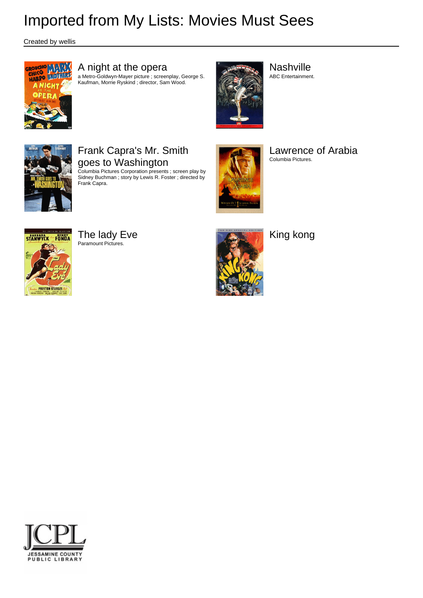Created by wellis



# A night at the opera

a Metro-Goldwyn-Mayer picture ; screenplay, George S. Kaufman, Morrie Ryskind ; director, Sam Wood.



**Nashville** ABC Entertainment.

# Frank Capra's Mr. Smith goes to Washington

Columbia Pictures Corporation presents ; screen play by Sidney Buchman ; story by Lewis R. Foster ; directed by Frank Capra.



Lawrence of Arabia Columbia Pictures.



The lady Eve Paramount Pictures.



King kong

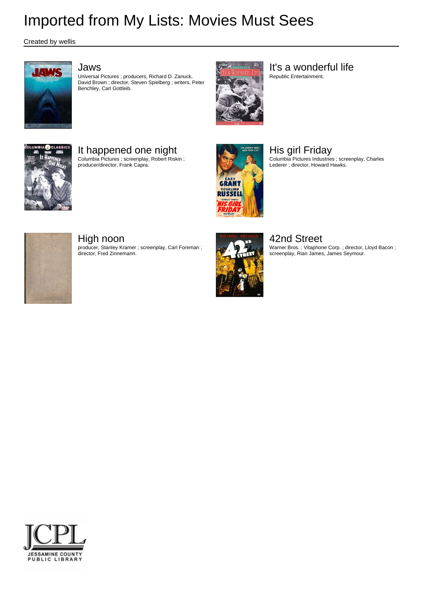Created by wellis



## Jaws

Universal Pictures ; producers, Richard D. Zanuck, David Brown ; director, Steven Spielberg ; writers, Peter Benchley, Carl Gottleib.



It's a wonderful life Republic Entertainment.

It happened one night Columbia Pictures ; screenplay, Robert Riskin ; producer/director, Frank Capra.



His girl Friday Columbia Pictures Industries ; screenplay, Charles Lederer ; director, Howard Hawks.



## High noon

producer, Stanley Kramer ; screenplay, Carl Foreman ; director, Fred Zinnemann.



42nd Street

Warner Bros. ; Vitaphone Corp. ; director, Lloyd Bacon ; screenplay, Rian James, James Seymour.

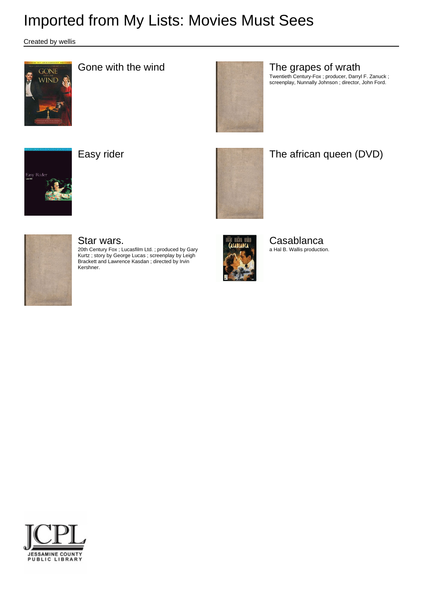Created by wellis





# Gone with the wind **The grapes of wrath**

Twentieth Century-Fox ; producer, Darryl F. Zanuck ; screenplay, Nunnally Johnson ; director, John Ford.





# Easy rider **The african queen (DVD)**



## Star wars.

20th Century Fox ; Lucasfilm Ltd. ; produced by Gary Kurtz ; story by George Lucas ; screenplay by Leigh Brackett and Lawrence Kasdan ; directed by Irvin Kershner.



**Casablanca** a Hal B. Wallis production.